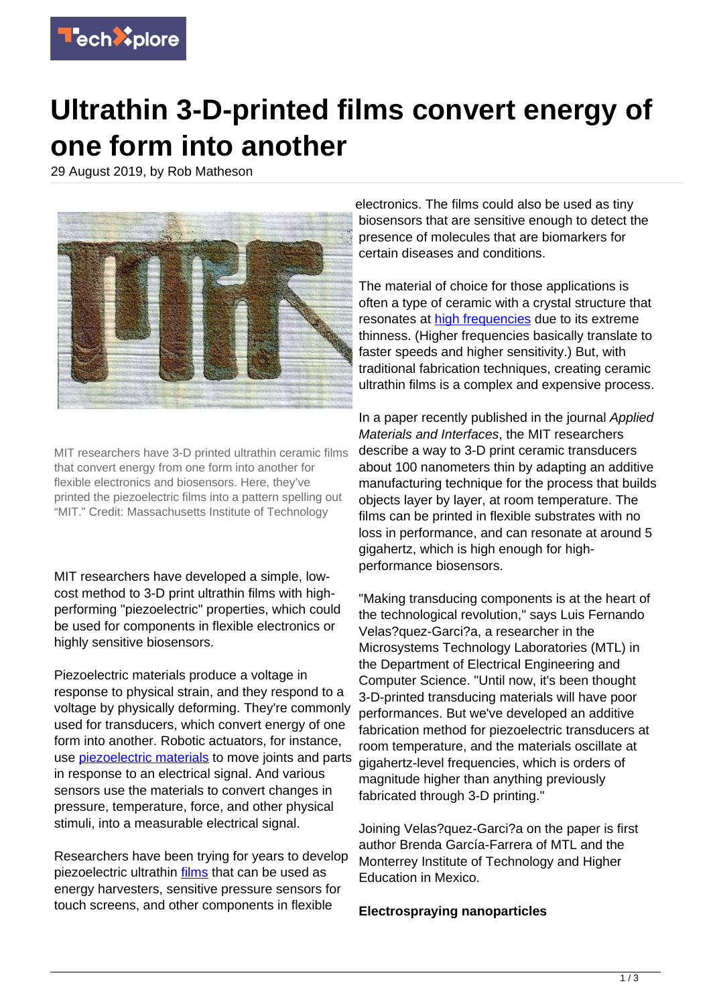

## **Ultrathin 3-D-printed films convert energy of one form into another**

29 August 2019, by Rob Matheson



MIT researchers have 3-D printed ultrathin ceramic films that convert energy from one form into another for flexible electronics and biosensors. Here, they've printed the piezoelectric films into a pattern spelling out "MIT." Credit: Massachusetts Institute of Technology

MIT researchers have developed a simple, lowcost method to 3-D print ultrathin films with highperforming "piezoelectric" properties, which could be used for components in flexible electronics or highly sensitive biosensors.

Piezoelectric materials produce a voltage in response to physical strain, and they respond to a voltage by physically deforming. They're commonly used for transducers, which convert energy of one form into another. Robotic actuators, for instance, use [piezoelectric materials](https://techxplore.com/tags/piezoelectric+materials/) to move joints and parts in response to an electrical signal. And various sensors use the materials to convert changes in pressure, temperature, force, and other physical stimuli, into a measurable electrical signal.

Researchers have been trying for years to develop piezoelectric ultrathin [films](https://techxplore.com/tags/films/) that can be used as energy harvesters, sensitive pressure sensors for touch screens, and other components in flexible

electronics. The films could also be used as tiny biosensors that are sensitive enough to detect the presence of molecules that are biomarkers for certain diseases and conditions.

The material of choice for those applications is often a type of ceramic with a crystal structure that resonates at [high frequencies](https://techxplore.com/tags/high+frequencies/) due to its extreme thinness. (Higher frequencies basically translate to faster speeds and higher sensitivity.) But, with traditional fabrication techniques, creating ceramic ultrathin films is a complex and expensive process.

In a paper recently published in the journal Applied Materials and Interfaces, the MIT researchers describe a way to 3-D print ceramic transducers about 100 nanometers thin by adapting an additive manufacturing technique for the process that builds objects layer by layer, at room temperature. The films can be printed in flexible substrates with no loss in performance, and can resonate at around 5 gigahertz, which is high enough for highperformance biosensors.

"Making transducing components is at the heart of the technological revolution," says Luis Fernando Velas?quez-Garci?a, a researcher in the Microsystems Technology Laboratories (MTL) in the Department of Electrical Engineering and Computer Science. "Until now, it's been thought 3-D-printed transducing materials will have poor performances. But we've developed an additive fabrication method for piezoelectric transducers at room temperature, and the materials oscillate at gigahertz-level frequencies, which is orders of magnitude higher than anything previously fabricated through 3-D printing."

Joining Velas?quez-Garci?a on the paper is first author Brenda García-Farrera of MTL and the Monterrey Institute of Technology and Higher Education in Mexico.

## **Electrospraying nanoparticles**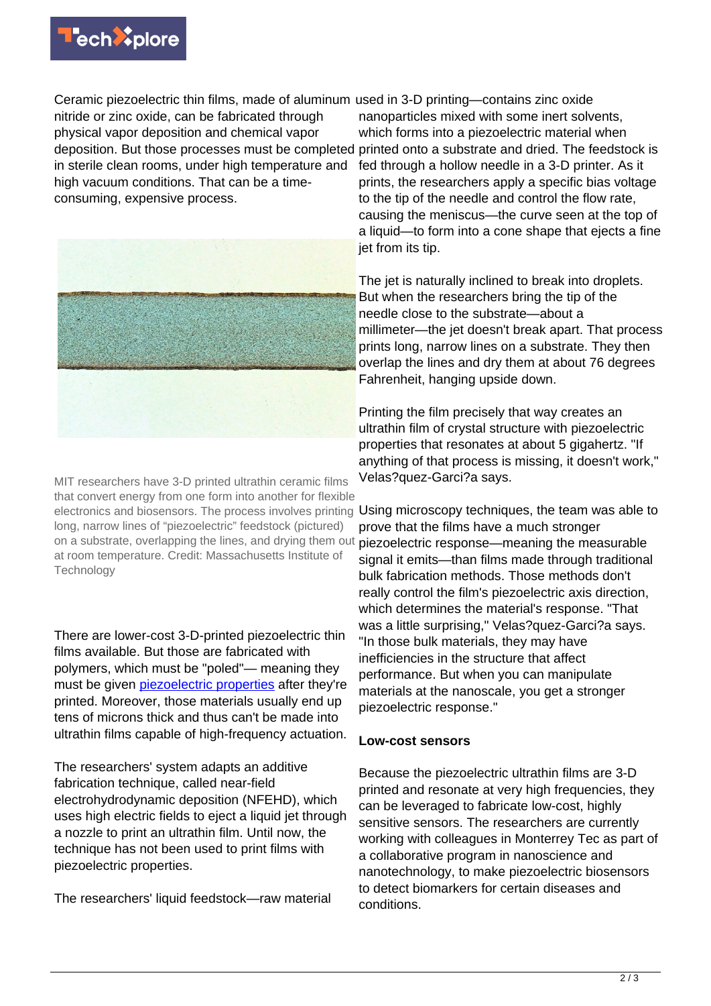

Ceramic piezoelectric thin films, made of aluminum used in 3-D printing—contains zinc oxide nitride or zinc oxide, can be fabricated through physical vapor deposition and chemical vapor deposition. But those processes must be completed in sterile clean rooms, under high temperature and high vacuum conditions. That can be a timeconsuming, expensive process.



MIT researchers have 3-D printed ultrathin ceramic films that convert energy from one form into another for flexible electronics and biosensors. The process involves printing long, narrow lines of "piezoelectric" feedstock (pictured) on a substrate, overlapping the lines, and drying them out piezoelectric response—meaning the measurable at room temperature. Credit: Massachusetts Institute of **Technology** 

There are lower-cost 3-D-printed piezoelectric thin films available. But those are fabricated with polymers, which must be "poled"— meaning they must be given [piezoelectric properties](https://techxplore.com/tags/piezoelectric+properties/) after they're printed. Moreover, those materials usually end up tens of microns thick and thus can't be made into ultrathin films capable of high-frequency actuation.

The researchers' system adapts an additive fabrication technique, called near-field electrohydrodynamic deposition (NFEHD), which uses high electric fields to eject a liquid jet through a nozzle to print an ultrathin film. Until now, the technique has not been used to print films with piezoelectric properties.

The researchers' liquid feedstock—raw material

nanoparticles mixed with some inert solvents, which forms into a piezoelectric material when printed onto a substrate and dried. The feedstock is fed through a hollow needle in a 3-D printer. As it prints, the researchers apply a specific bias voltage to the tip of the needle and control the flow rate, causing the meniscus—the curve seen at the top of a liquid—to form into a cone shape that ejects a fine jet from its tip.

The jet is naturally inclined to break into droplets. But when the researchers bring the tip of the needle close to the substrate—about a millimeter—the jet doesn't break apart. That process prints long, narrow lines on a substrate. They then overlap the lines and dry them at about 76 degrees Fahrenheit, hanging upside down.

Printing the film precisely that way creates an ultrathin film of crystal structure with piezoelectric properties that resonates at about 5 gigahertz. "If anything of that process is missing, it doesn't work," Velas?quez-Garci?a says.

Using microscopy techniques, the team was able to prove that the films have a much stronger signal it emits—than films made through traditional bulk fabrication methods. Those methods don't really control the film's piezoelectric axis direction, which determines the material's response. "That was a little surprising," Velas?quez-Garci?a says. "In those bulk materials, they may have inefficiencies in the structure that affect performance. But when you can manipulate materials at the nanoscale, you get a stronger piezoelectric response."

## **Low-cost sensors**

Because the piezoelectric ultrathin films are 3-D printed and resonate at very high frequencies, they can be leveraged to fabricate low-cost, highly sensitive sensors. The researchers are currently working with colleagues in Monterrey Tec as part of a collaborative program in nanoscience and nanotechnology, to make piezoelectric biosensors to detect biomarkers for certain diseases and conditions.